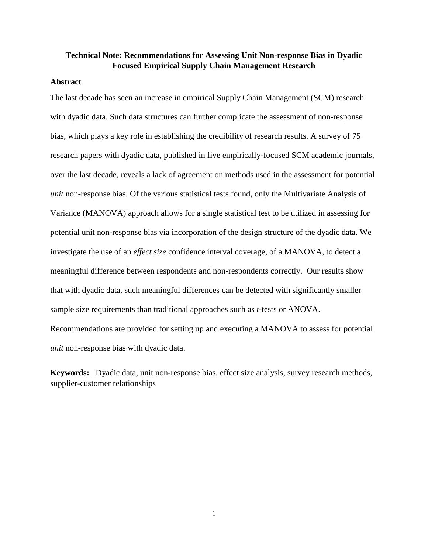# **Technical Note: Recommendations for Assessing Unit Non-response Bias in Dyadic Focused Empirical Supply Chain Management Research**

## **Abstract**

The last decade has seen an increase in empirical Supply Chain Management (SCM) research with dyadic data. Such data structures can further complicate the assessment of non-response bias, which plays a key role in establishing the credibility of research results. A survey of 75 research papers with dyadic data, published in five empirically-focused SCM academic journals, over the last decade, reveals a lack of agreement on methods used in the assessment for potential *unit* non-response bias. Of the various statistical tests found, only the Multivariate Analysis of Variance (MANOVA) approach allows for a single statistical test to be utilized in assessing for potential unit non-response bias via incorporation of the design structure of the dyadic data. We investigate the use of an *effect size* confidence interval coverage, of a MANOVA, to detect a meaningful difference between respondents and non-respondents correctly. Our results show that with dyadic data, such meaningful differences can be detected with significantly smaller sample size requirements than traditional approaches such as *t*-tests or ANOVA. Recommendations are provided for setting up and executing a MANOVA to assess for potential *unit* non-response bias with dyadic data.

**Keywords:** Dyadic data, unit non-response bias, effect size analysis, survey research methods, supplier-customer relationships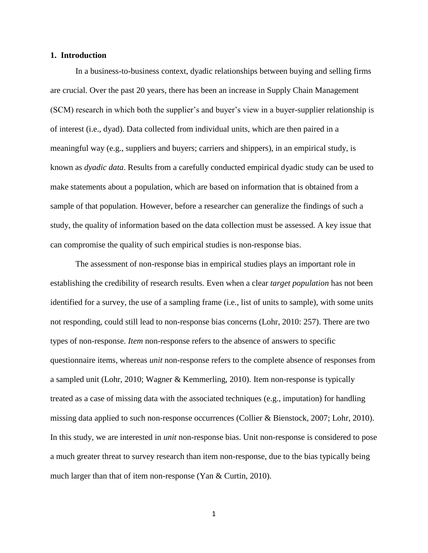### **1. Introduction**

In a business-to-business context, dyadic relationships between buying and selling firms are crucial. Over the past 20 years, there has been an increase in Supply Chain Management (SCM) research in which both the supplier's and buyer's view in a buyer-supplier relationship is of interest (i.e., dyad). Data collected from individual units, which are then paired in a meaningful way (e.g., suppliers and buyers; carriers and shippers), in an empirical study, is known as *dyadic data*. Results from a carefully conducted empirical dyadic study can be used to make statements about a population, which are based on information that is obtained from a sample of that population. However, before a researcher can generalize the findings of such a study, the quality of information based on the data collection must be assessed. A key issue that can compromise the quality of such empirical studies is non-response bias.

The assessment of non-response bias in empirical studies plays an important role in establishing the credibility of research results. Even when a clear *target population* has not been identified for a survey, the use of a sampling frame (i.e., list of units to sample), with some units not responding, could still lead to non-response bias concerns (Lohr, 2010: 257). There are two types of non-response. *Item* non-response refers to the absence of answers to specific questionnaire items, whereas *unit* non-response refers to the complete absence of responses from a sampled unit (Lohr, 2010; Wagner & Kemmerling, 2010). Item non-response is typically treated as a case of missing data with the associated techniques (e.g., imputation) for handling missing data applied to such non-response occurrences (Collier & Bienstock, 2007; Lohr, 2010). In this study, we are interested in *unit* non-response bias. Unit non-response is considered to pose a much greater threat to survey research than item non-response, due to the bias typically being much larger than that of item non-response (Yan & Curtin, 2010).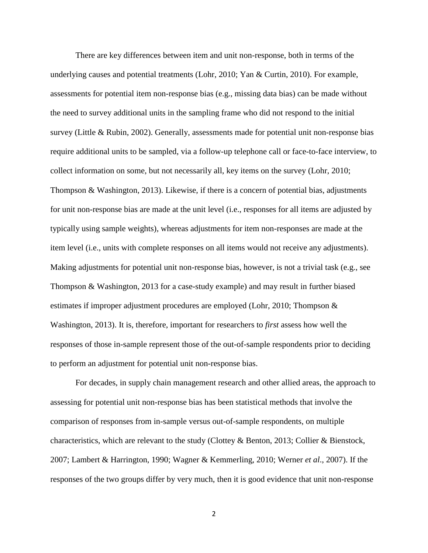There are key differences between item and unit non-response, both in terms of the underlying causes and potential treatments (Lohr, 2010; Yan & Curtin, 2010). For example, assessments for potential item non-response bias (e.g., missing data bias) can be made without the need to survey additional units in the sampling frame who did not respond to the initial survey (Little & Rubin, 2002). Generally, assessments made for potential unit non-response bias require additional units to be sampled, via a follow-up telephone call or face-to-face interview, to collect information on some, but not necessarily all, key items on the survey (Lohr, 2010; Thompson & Washington, 2013). Likewise, if there is a concern of potential bias, adjustments for unit non-response bias are made at the unit level (i.e., responses for all items are adjusted by typically using sample weights), whereas adjustments for item non-responses are made at the item level (i.e., units with complete responses on all items would not receive any adjustments). Making adjustments for potential unit non-response bias, however, is not a trivial task (e.g., see Thompson & Washington, 2013 for a case-study example) and may result in further biased estimates if improper adjustment procedures are employed (Lohr, 2010; Thompson & Washington, 2013). It is, therefore, important for researchers to *first* assess how well the responses of those in-sample represent those of the out-of-sample respondents prior to deciding to perform an adjustment for potential unit non-response bias.

For decades, in supply chain management research and other allied areas, the approach to assessing for potential unit non-response bias has been statistical methods that involve the comparison of responses from in-sample versus out-of-sample respondents, on multiple characteristics, which are relevant to the study (Clottey & Benton, 2013; Collier & Bienstock, 2007; Lambert & Harrington, 1990; Wagner & Kemmerling, 2010; Werner *et al*., 2007). If the responses of the two groups differ by very much, then it is good evidence that unit non-response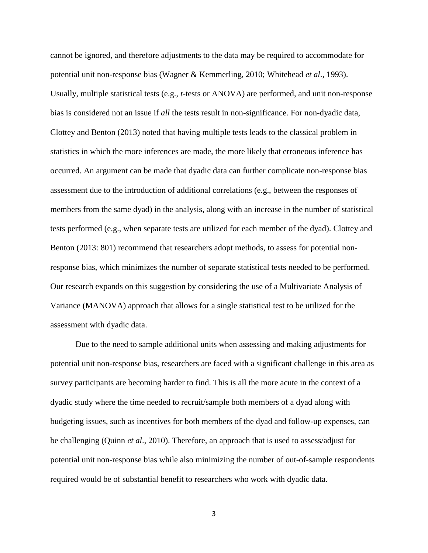cannot be ignored, and therefore adjustments to the data may be required to accommodate for potential unit non-response bias (Wagner & Kemmerling, 2010; Whitehead *et al*., 1993). Usually, multiple statistical tests (e.g., *t*-tests or ANOVA) are performed, and unit non-response bias is considered not an issue if *all* the tests result in non-significance. For non-dyadic data, Clottey and Benton (2013) noted that having multiple tests leads to the classical problem in statistics in which the more inferences are made, the more likely that erroneous inference has occurred. An argument can be made that dyadic data can further complicate non-response bias assessment due to the introduction of additional correlations (e.g., between the responses of members from the same dyad) in the analysis, along with an increase in the number of statistical tests performed (e.g., when separate tests are utilized for each member of the dyad). Clottey and Benton (2013: 801) recommend that researchers adopt methods, to assess for potential nonresponse bias, which minimizes the number of separate statistical tests needed to be performed. Our research expands on this suggestion by considering the use of a Multivariate Analysis of Variance (MANOVA) approach that allows for a single statistical test to be utilized for the assessment with dyadic data.

Due to the need to sample additional units when assessing and making adjustments for potential unit non-response bias, researchers are faced with a significant challenge in this area as survey participants are becoming harder to find. This is all the more acute in the context of a dyadic study where the time needed to recruit/sample both members of a dyad along with budgeting issues, such as incentives for both members of the dyad and follow-up expenses, can be challenging (Quinn *et al*., 2010). Therefore, an approach that is used to assess/adjust for potential unit non-response bias while also minimizing the number of out-of-sample respondents required would be of substantial benefit to researchers who work with dyadic data.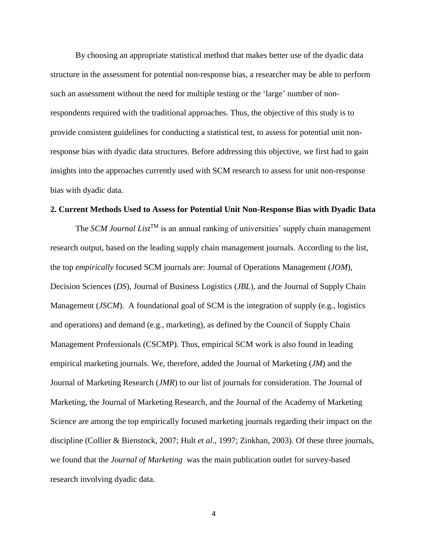By choosing an appropriate statistical method that makes better use of the dyadic data structure in the assessment for potential non-response bias, a researcher may be able to perform such an assessment without the need for multiple testing or the 'large' number of nonrespondents required with the traditional approaches. Thus, the objective of this study is to provide consistent guidelines for conducting a statistical test, to assess for potential unit nonresponse bias with dyadic data structures. Before addressing this objective, we first had to gain insights into the approaches currently used with SCM research to assess for unit non-response bias with dyadic data.

#### **2. Current Methods Used to Assess for Potential Unit Non-Response Bias with Dyadic Data**

The *SCM Journal List*<sup>TM</sup> is an annual ranking of universities' supply chain management research output, based on the leading supply chain management journals. According to the list, the top *empirically* focused SCM journals are: Journal of Operations Management (*JOM*), Decision Sciences (*DS*), Journal of Business Logistics (*JBL*), and the Journal of Supply Chain Management (*JSCM*). A foundational goal of SCM is the integration of supply (e.g., logistics and operations) and demand (e.g., marketing), as defined by the Council of Supply Chain Management Professionals (CSCMP). Thus, empirical SCM work is also found in leading empirical marketing journals. We, therefore, added the Journal of Marketing (*JM*) and the Journal of Marketing Research (*JMR*) to our list of journals for consideration. The Journal of Marketing, the Journal of Marketing Research, and the Journal of the Academy of Marketing Science are among the top empirically focused marketing journals regarding their impact on the discipline (Collier & Bienstock, 2007; Hult *et al*., 1997; Zinkhan, 2003). Of these three journals, we found that the *Journal of Marketing* was the main publication outlet for survey-based research involving dyadic data.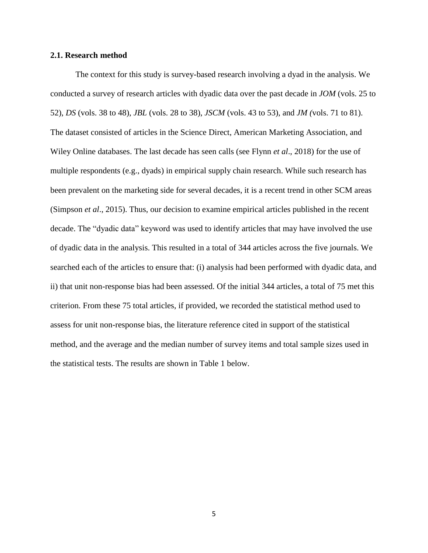### **2.1. Research method**

The context for this study is survey-based research involving a dyad in the analysis. We conducted a survey of research articles with dyadic data over the past decade in *JOM* (vols. 25 to 52), *DS* (vols. 38 to 48), *JBL* (vols. 28 to 38), *JSCM* (vols. 43 to 53), and *JM (*vols. 71 to 81). The dataset consisted of articles in the Science Direct, American Marketing Association, and Wiley Online databases. The last decade has seen calls (see Flynn *et al*., 2018) for the use of multiple respondents (e.g., dyads) in empirical supply chain research. While such research has been prevalent on the marketing side for several decades, it is a recent trend in other SCM areas (Simpson *et al*., 2015). Thus, our decision to examine empirical articles published in the recent decade. The "dyadic data" keyword was used to identify articles that may have involved the use of dyadic data in the analysis. This resulted in a total of 344 articles across the five journals. We searched each of the articles to ensure that: (i) analysis had been performed with dyadic data, and ii) that unit non-response bias had been assessed. Of the initial 344 articles, a total of 75 met this criterion. From these 75 total articles, if provided, we recorded the statistical method used to assess for unit non-response bias, the literature reference cited in support of the statistical method, and the average and the median number of survey items and total sample sizes used in the statistical tests. The results are shown in Table 1 below.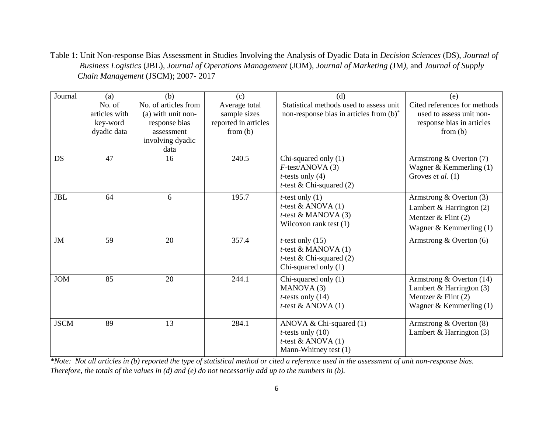Table 1: Unit Non-response Bias Assessment in Studies Involving the Analysis of Dyadic Data in *Decision Sciences* (DS), *Journal of Business Logistics* (JBL), *Journal of Operations Management* (JOM), *Journal of Marketing (*JM*)*, and *Journal of Supply Chain Management* (JSCM); 2007- 2017

| Journal     | (a)<br>No. of<br>articles with<br>key-word<br>dyadic data | (b)<br>No. of articles from<br>(a) with unit non-<br>response bias<br>assessment<br>involving dyadic<br>data | (c)<br>Average total<br>sample sizes<br>reported in articles<br>from (b) | (d)<br>Statistical methods used to assess unit<br>non-response bias in articles from (b) <sup>*</sup>               | (e)<br>Cited references for methods<br>used to assess unit non-<br>response bias in articles<br>from $(b)$    |
|-------------|-----------------------------------------------------------|--------------------------------------------------------------------------------------------------------------|--------------------------------------------------------------------------|---------------------------------------------------------------------------------------------------------------------|---------------------------------------------------------------------------------------------------------------|
| <b>DS</b>   | 47                                                        | 16                                                                                                           | 240.5                                                                    | Chi-squared only $(1)$<br>$F$ -test/ANOVA $(3)$<br><i>t</i> -tests only $(4)$<br><i>t</i> -test & Chi-squared $(2)$ | Armstrong & Overton $(7)$<br>Wagner & Kemmerling $(1)$<br>Groves et al. $(1)$                                 |
| <b>JBL</b>  | 64                                                        | 6                                                                                                            | 195.7                                                                    | <i>t</i> -test only $(1)$<br><i>t</i> -test & ANOVA $(1)$<br>$t$ -test & MANOVA $(3)$<br>Wilcoxon rank test $(1)$   | Armstrong & Overton $(3)$<br>Lambert & Harrington $(2)$<br>Mentzer & Flint $(2)$<br>Wagner & Kemmerling $(1)$ |
| <b>JM</b>   | 59                                                        | 20                                                                                                           | 357.4                                                                    | $t$ -test only $(15)$<br>$t$ -test & MANOVA $(1)$<br>$t$ -test & Chi-squared (2)<br>Chi-squared only $(1)$          | Armstrong $&$ Overton (6)                                                                                     |
| <b>JOM</b>  | 85                                                        | 20                                                                                                           | 244.1                                                                    | Chi-squared only (1)<br>MANOVA(3)<br><i>t</i> -tests only $(14)$<br><i>t</i> -test & ANOVA $(1)$                    | Armstrong & Overton $(14)$<br>Lambert & Harrington (3)<br>Mentzer $&$ Flint (2)<br>Wagner & Kemmerling $(1)$  |
| <b>JSCM</b> | 89                                                        | 13                                                                                                           | 284.1                                                                    | ANOVA & Chi-squared $(1)$<br><i>t</i> -tests only $(10)$<br>$t$ -test & ANOVA $(1)$<br>Mann-Whitney test (1)        | Armstrong & Overton $(8)$<br>Lambert & Harrington $(3)$                                                       |

*\*Note: Not all articles in (b) reported the type of statistical method or cited a reference used in the assessment of unit non-response bias. Therefore, the totals of the values in (d) and (e) do not necessarily add up to the numbers in (b).*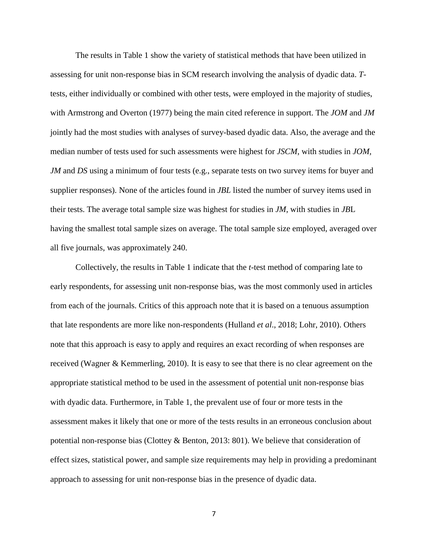The results in Table 1 show the variety of statistical methods that have been utilized in assessing for unit non-response bias in SCM research involving the analysis of dyadic data. *T*tests, either individually or combined with other tests, were employed in the majority of studies, with Armstrong and Overton (1977) being the main cited reference in support. The *JOM* and *JM* jointly had the most studies with analyses of survey-based dyadic data. Also, the average and the median number of tests used for such assessments were highest for *JSCM*, with studies in *JOM, JM* and *DS* using a minimum of four tests (e.g., separate tests on two survey items for buyer and supplier responses). None of the articles found in *JBL* listed the number of survey items used in their tests. The average total sample size was highest for studies in *JM*, with studies in *JB*L having the smallest total sample sizes on average. The total sample size employed, averaged over all five journals, was approximately 240.

Collectively, the results in Table 1 indicate that the *t*-test method of comparing late to early respondents, for assessing unit non-response bias, was the most commonly used in articles from each of the journals. Critics of this approach note that it is based on a tenuous assumption that late respondents are more like non-respondents (Hulland *et al*., 2018; Lohr, 2010). Others note that this approach is easy to apply and requires an exact recording of when responses are received (Wagner & Kemmerling, 2010). It is easy to see that there is no clear agreement on the appropriate statistical method to be used in the assessment of potential unit non-response bias with dyadic data. Furthermore, in Table 1, the prevalent use of four or more tests in the assessment makes it likely that one or more of the tests results in an erroneous conclusion about potential non-response bias (Clottey & Benton, 2013: 801). We believe that consideration of effect sizes, statistical power, and sample size requirements may help in providing a predominant approach to assessing for unit non-response bias in the presence of dyadic data.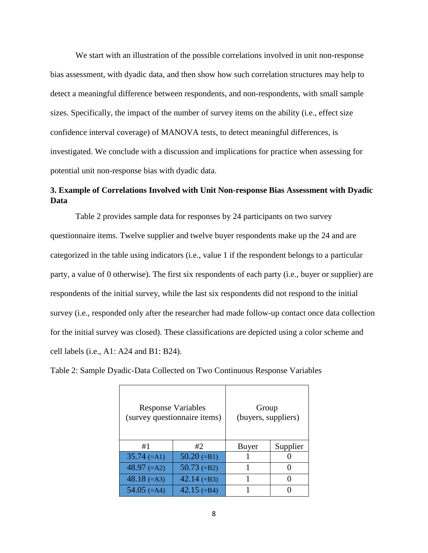We start with an illustration of the possible correlations involved in unit non-response bias assessment, with dyadic data, and then show how such correlation structures may help to detect a meaningful difference between respondents, and non-respondents, with small sample sizes. Specifically, the impact of the number of survey items on the ability (i.e., effect size confidence interval coverage) of MANOVA tests, to detect meaningful differences, is investigated. We conclude with a discussion and implications for practice when assessing for potential unit non-response bias with dyadic data.

# **3. Example of Correlations Involved with Unit Non-response Bias Assessment with Dyadic Data**

Table 2 provides sample data for responses by 24 participants on two survey questionnaire items. Twelve supplier and twelve buyer respondents make up the 24 and are categorized in the table using indicators (i.e., value 1 if the respondent belongs to a particular party, a value of 0 otherwise). The first six respondents of each party (i.e., buyer or supplier) are respondents of the initial survey, while the last six respondents did not respond to the initial survey (i.e., responded only after the researcher had made follow-up contact once data collection for the initial survey was closed). These classifications are depicted using a color scheme and cell labels (i.e., A1: A24 and B1: B24).

Table 2: Sample Dyadic-Data Collected on Two Continuous Response Variables

| <b>Response Variables</b> | (survey questionnaire items) | Group<br>(buyers, suppliers) |          |
|---------------------------|------------------------------|------------------------------|----------|
| #1                        | #2                           | Buyer                        | Supplier |
| $35.74 (=A1)$             | $50.20 (=B1)$                |                              |          |
| $48.97$ (=A2)             | $50.73$ (=B2)                |                              |          |
| $48.18$ (=A3)             | $42.14 (=B3)$                |                              |          |
| $54.05$ (=A4)             | $42.15 (=B4)$                |                              |          |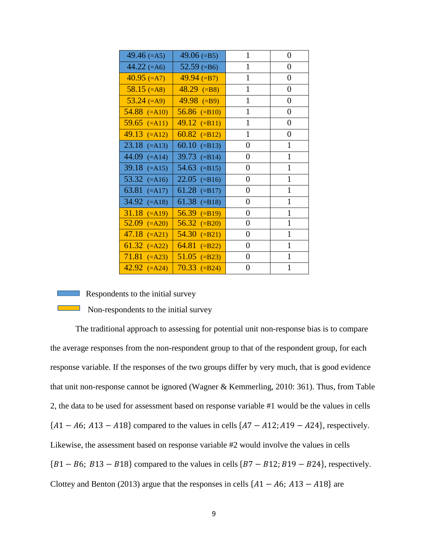| $49.46 (=A5)$      | $49.06 (=B5)$             | $\mathbf{1}$     | $\overline{0}$   |
|--------------------|---------------------------|------------------|------------------|
| 44.22 $(=A6)$      | $52.59$ (=B6)             | 1                | 0                |
| $40.95$ (=A7)      | $49.94 (=B7)$             | $\mathbf{1}$     | 0                |
| $58.15$ (=A8)      | $48.29$ (=B8)             | $\mathbf{1}$     | 0                |
| $53.24 (=A9)$      | $49.98$ (=B9)             | 1                | 0                |
| $54.88$ (=A10)     | $56.86$ (=B10)            | 1                | 0                |
| $59.65$ (=A11)     | $49.12$ (=B11)            | $\mathbf{1}$     | $\boldsymbol{0}$ |
| $49.13$ (=A12)     | $60.82$ (=B12)            | $\mathbf{1}$     | $\overline{0}$   |
| $23.18$ (=A13)     | 60.10 $(=\text{B13})$     | 0                | 1                |
| 44.09 $(=A14)$     | $39.73$ (=B14)            | 0                | 1                |
| $39.18$ (=A15)     | 54.63 $(=\text{B15})$     | 0                | 1                |
| 53.32 $(=A16)$     | $22.05$ (=B16)            | 0                | $\mathbf{1}$     |
| 63.81 $(-A17)$     | 61.28 $\overline{(=B17)}$ | 0                | 1                |
| $34.92$ ( $=$ A18) | 61.38 $(=\text{B}18)$     | 0                | 1                |
| $31.18$ (=A19)     | $56.39$ (=B19)            | $\overline{0}$   | $\mathbf{1}$     |
| $52.09$ (=A20)     | $56.32$ (=B20)            | $\boldsymbol{0}$ | $\mathbf{1}$     |
| $47.18$ (=A21)     | $54.30$ (=B21)            | 0                | 1                |
| 61.32 $(=A22)$     | $64.81$ (=B22)            | 0                | 1                |
| $71.81$ (=A23)     | $51.05$ (=B23)            | 0                | 1                |
| $42.92$ (=A24)     | $70.33$ (=B24)            | 0                | 1                |

#### Respondents to the initial survey

Non-respondents to the initial survey

The traditional approach to assessing for potential unit non-response bias is to compare the average responses from the non-respondent group to that of the respondent group, for each response variable. If the responses of the two groups differ by very much, that is good evidence that unit non-response cannot be ignored (Wagner & Kemmerling, 2010: 361). Thus, from Table 2, the data to be used for assessment based on response variable #1 would be the values in cells  ${A1 - A6; A13 - A18}$  compared to the values in cells  ${A7 - A12; A19 - A24}$ , respectively. Likewise, the assessment based on response variable #2 would involve the values in cells  ${B1 - B6; B13 - B18}$  compared to the values in cells  ${B7 - B12; B19 - B24}$ , respectively. Clottey and Benton (2013) argue that the responses in cells  $\{A1 - A6, A13 - A18\}$  are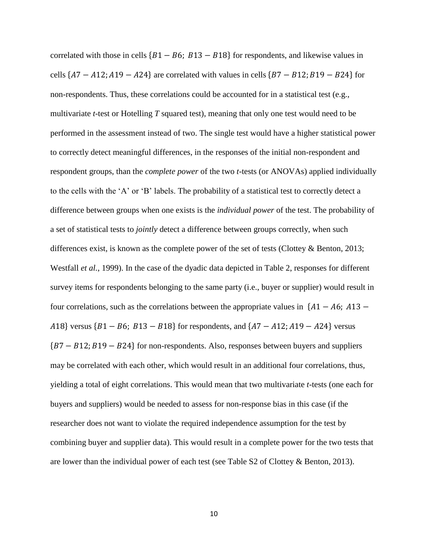correlated with those in cells  ${B1 - B6}$ ;  $B13 - B18$ } for respondents, and likewise values in cells  ${7 - A12; A19 - A24}$  are correlated with values in cells  ${B7 - B12; B19 - B24}$  for non-respondents. Thus, these correlations could be accounted for in a statistical test (e.g., multivariate *t*-test or Hotelling *T* squared test), meaning that only one test would need to be performed in the assessment instead of two. The single test would have a higher statistical power to correctly detect meaningful differences, in the responses of the initial non-respondent and respondent groups, than the *complete power* of the two *t*-tests (or ANOVAs) applied individually to the cells with the 'A' or 'B' labels. The probability of a statistical test to correctly detect a difference between groups when one exists is the *individual power* of the test. The probability of a set of statistical tests to *jointly* detect a difference between groups correctly, when such differences exist, is known as the complete power of the set of tests (Clottey & Benton, 2013; Westfall *et al.*, 1999). In the case of the dyadic data depicted in Table 2, responses for different survey items for respondents belonging to the same party (i.e., buyer or supplier) would result in four correlations, such as the correlations between the appropriate values in  ${41 - A6; A13 -}$ A18} versus  ${B1 - B6$ ;  $B13 - B18}$  for respondents, and  ${A7 - A12}$ ;  $A19 - A24$  versus  ${B7 - B12; B19 - B24}$  for non-respondents. Also, responses between buyers and suppliers may be correlated with each other, which would result in an additional four correlations, thus, yielding a total of eight correlations. This would mean that two multivariate *t*-tests (one each for buyers and suppliers) would be needed to assess for non-response bias in this case (if the researcher does not want to violate the required independence assumption for the test by combining buyer and supplier data). This would result in a complete power for the two tests that are lower than the individual power of each test (see Table S2 of Clottey & Benton, 2013).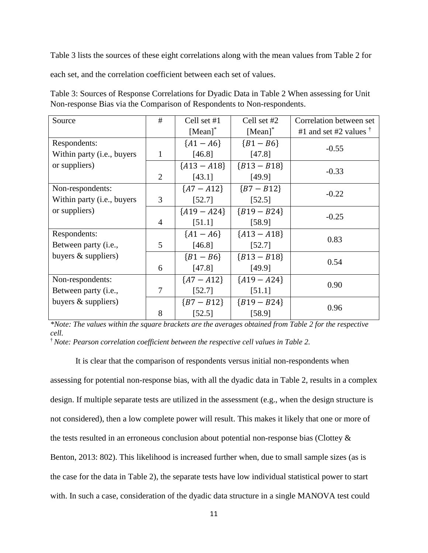Table 3 lists the sources of these eight correlations along with the mean values from Table 2 for

each set, and the correlation coefficient between each set of values.

| Table 3: Sources of Response Correlations for Dyadic Data in Table 2 When assessing for Unit |
|----------------------------------------------------------------------------------------------|
| Non-response Bias via the Comparison of Respondents to Non-respondents.                      |

| Source                              | #              | Cell set #1    | Cell set #2   | Correlation between set        |
|-------------------------------------|----------------|----------------|---------------|--------------------------------|
|                                     |                | $[Mean]^*$     | $[Mean]^*$    | #1 and set #2 values $\dagger$ |
| Respondents:                        |                | ${A1 - A6}$    | ${B1 - B6}$   |                                |
| Within party ( <i>i.e.</i> , buyers | 1              | [46.8]         | [47.8]        | $-0.55$                        |
| or suppliers)                       |                | ${A13 - A18}$  | ${B13 - B18}$ | $-0.33$                        |
|                                     | $\overline{2}$ | [43.1]         | [49.9]        |                                |
| Non-respondents:                    |                | ${A7 - A12}$   | ${B7 - B12}$  | $-0.22$                        |
| Within party ( <i>i.e.</i> , buyers | 3              | [52.7]         | [52.5]        |                                |
| or suppliers)                       |                | ${A19 - A24}$  | ${B19 - B24}$ |                                |
|                                     | $\overline{4}$ | [51.1]         | [58.9]        | $-0.25$                        |
| Respondents:                        |                | ${A1 - A6}$    | ${A13 - A18}$ | 0.83                           |
| Between party (i.e.,                | 5              | [46.8]         | [52.7]        |                                |
| buyers $&$ suppliers)               |                | ${B1 - B6}$    | ${B13 - B18}$ | 0.54                           |
|                                     | 6              | [47.8]         | [49.9]        |                                |
| Non-respondents:                    |                | ${A7 - A12}$   | ${A19 - A24}$ | 0.90                           |
| Between party (i.e.,                | 7              | [52.7]         | [51.1]        |                                |
| buyers $&$ suppliers)               |                | $\{B7 - B12\}$ | ${B19 - B24}$ |                                |
|                                     | 8              | [52.5]         | [58.9]        | 0.96                           |

*\*Note: The values within the square brackets are the averages obtained from Table 2 for the respective cell.* 

† *Note: Pearson correlation coefficient between the respective cell values in Table 2.*

It is clear that the comparison of respondents versus initial non-respondents when assessing for potential non-response bias, with all the dyadic data in Table 2, results in a complex design. If multiple separate tests are utilized in the assessment (e.g., when the design structure is not considered), then a low complete power will result. This makes it likely that one or more of the tests resulted in an erroneous conclusion about potential non-response bias (Clottey & Benton, 2013: 802). This likelihood is increased further when, due to small sample sizes (as is the case for the data in Table 2), the separate tests have low individual statistical power to start with. In such a case, consideration of the dyadic data structure in a single MANOVA test could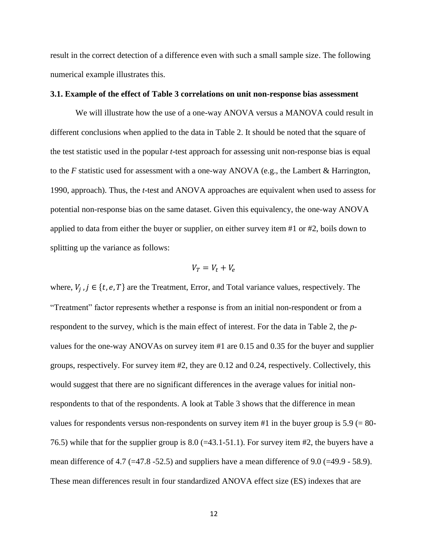result in the correct detection of a difference even with such a small sample size. The following numerical example illustrates this.

### **3.1. Example of the effect of Table 3 correlations on unit non-response bias assessment**

We will illustrate how the use of a one-way ANOVA versus a MANOVA could result in different conclusions when applied to the data in Table 2. It should be noted that the square of the test statistic used in the popular *t*-test approach for assessing unit non-response bias is equal to the *F* statistic used for assessment with a one-way ANOVA (e.g., the Lambert & Harrington, 1990, approach). Thus, the *t*-test and ANOVA approaches are equivalent when used to assess for potential non-response bias on the same dataset. Given this equivalency, the one-way ANOVA applied to data from either the buyer or supplier, on either survey item #1 or #2, boils down to splitting up the variance as follows:

$$
V_T = V_t + V_e
$$

where,  $V_j$ ,  $j \in \{t, e, T\}$  are the Treatment, Error, and Total variance values, respectively. The "Treatment" factor represents whether a response is from an initial non-respondent or from a respondent to the survey, which is the main effect of interest. For the data in Table 2, the *p*values for the one-way ANOVAs on survey item #1 are 0.15 and 0.35 for the buyer and supplier groups, respectively. For survey item #2, they are 0.12 and 0.24, respectively. Collectively, this would suggest that there are no significant differences in the average values for initial nonrespondents to that of the respondents. A look at Table 3 shows that the difference in mean values for respondents versus non-respondents on survey item #1 in the buyer group is  $5.9$  (= 80-76.5) while that for the supplier group is  $8.0$  (=43.1-51.1). For survey item #2, the buyers have a mean difference of 4.7 ( $=47.8$  -52.5) and suppliers have a mean difference of 9.0 ( $=49.9$  - 58.9). These mean differences result in four standardized ANOVA effect size (ES) indexes that are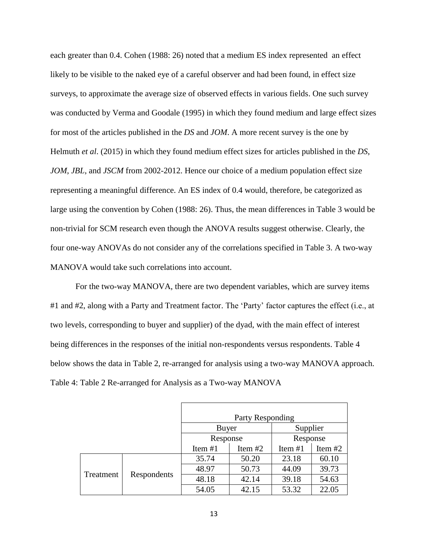each greater than 0.4. Cohen (1988: 26) noted that a medium ES index represented an effect likely to be visible to the naked eye of a careful observer and had been found, in effect size surveys, to approximate the average size of observed effects in various fields. One such survey was conducted by Verma and Goodale (1995) in which they found medium and large effect sizes for most of the articles published in the *DS* and *JOM*. A more recent survey is the one by Helmuth *et al*. (2015) in which they found medium effect sizes for articles published in the *DS*, *JOM*, *JBL*, and *JSCM* from 2002-2012. Hence our choice of a medium population effect size representing a meaningful difference. An ES index of 0.4 would, therefore, be categorized as large using the convention by Cohen (1988: 26). Thus, the mean differences in Table 3 would be non-trivial for SCM research even though the ANOVA results suggest otherwise. Clearly, the four one-way ANOVAs do not consider any of the correlations specified in Table 3. A two-way MANOVA would take such correlations into account.

For the two-way MANOVA, there are two dependent variables, which are survey items #1 and #2, along with a Party and Treatment factor. The 'Party' factor captures the effect (i.e., at two levels, corresponding to buyer and supplier) of the dyad, with the main effect of interest being differences in the responses of the initial non-respondents versus respondents. Table 4 below shows the data in Table 2, re-arranged for analysis using a two-way MANOVA approach. Table 4: Table 2 Re-arranged for Analysis as a Two-way MANOVA

|           |             | Party Responding |           |           |           |
|-----------|-------------|------------------|-----------|-----------|-----------|
|           |             | Buyer            |           | Supplier  |           |
|           |             | Response         |           | Response  |           |
|           |             | Item $#1$        | Item $#2$ | Item $#1$ | Item $#2$ |
|           |             | 35.74            | 50.20     | 23.18     | 60.10     |
|           | Respondents | 48.97            | 50.73     | 44.09     | 39.73     |
| Treatment |             | 48.18            | 42.14     | 39.18     | 54.63     |
|           |             | 54.05            | 42.15     | 53.32     | 22.05     |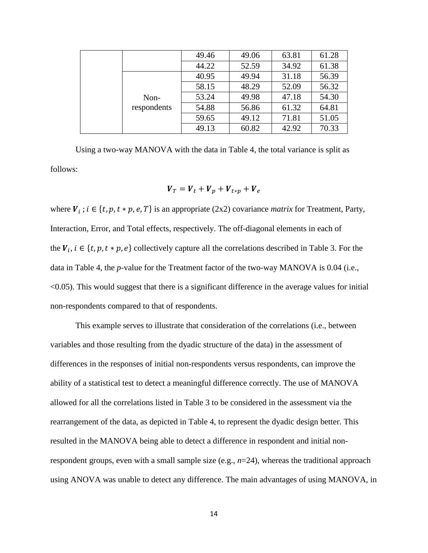|             | 49.46 | 49.06 | 63.81 | 61.28 |
|-------------|-------|-------|-------|-------|
|             | 44.22 | 52.59 | 34.92 | 61.38 |
|             | 40.95 | 49.94 | 31.18 | 56.39 |
|             | 58.15 | 48.29 | 52.09 | 56.32 |
| Non-        | 53.24 | 49.98 | 47.18 | 54.30 |
| respondents | 54.88 | 56.86 | 61.32 | 64.81 |
|             | 59.65 | 49.12 | 71.81 | 51.05 |
|             | 49.13 | 60.82 | 42.92 | 70.33 |

Using a two-way MANOVA with the data in Table 4, the total variance is split as follows:

$$
\boldsymbol{V}_T = \boldsymbol{V}_t + \boldsymbol{V}_p + \boldsymbol{V}_{t*p} + \boldsymbol{V}_e
$$

where  $V_i$ ;  $i \in \{t, p, t * p, e, T\}$  is an appropriate (2x2) covariance *matrix* for Treatment, Party, Interaction, Error, and Total effects, respectively. The off-diagonal elements in each of the  $V_i$ ,  $i \in \{t, p, t * p, e\}$  collectively capture all the correlations described in Table 3. For the data in Table 4, the *p*-value for the Treatment factor of the two-way MANOVA is 0.04 (i.e., <0.05). This would suggest that there is a significant difference in the average values for initial non-respondents compared to that of respondents.

This example serves to illustrate that consideration of the correlations (i.e., between variables and those resulting from the dyadic structure of the data) in the assessment of differences in the responses of initial non-respondents versus respondents, can improve the ability of a statistical test to detect a meaningful difference correctly. The use of MANOVA allowed for all the correlations listed in Table 3 to be considered in the assessment via the rearrangement of the data, as depicted in Table 4, to represent the dyadic design better. This resulted in the MANOVA being able to detect a difference in respondent and initial nonrespondent groups, even with a small sample size (e.g., *n*=24), whereas the traditional approach using ANOVA was unable to detect any difference. The main advantages of using MANOVA, in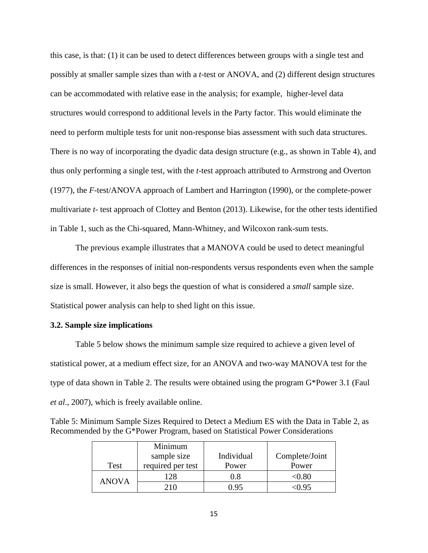this case, is that: (1) it can be used to detect differences between groups with a single test and possibly at smaller sample sizes than with a *t*-test or ANOVA, and (2) different design structures can be accommodated with relative ease in the analysis; for example, higher-level data structures would correspond to additional levels in the Party factor. This would eliminate the need to perform multiple tests for unit non-response bias assessment with such data structures. There is no way of incorporating the dyadic data design structure (e.g., as shown in Table 4), and thus only performing a single test, with the *t*-test approach attributed to Armstrong and Overton (1977), the *F*-test/ANOVA approach of Lambert and Harrington (1990), or the complete-power multivariate *t-* test approach of Clottey and Benton (2013). Likewise, for the other tests identified in Table 1, such as the Chi-squared, Mann-Whitney, and Wilcoxon rank-sum tests.

The previous example illustrates that a MANOVA could be used to detect meaningful differences in the responses of initial non-respondents versus respondents even when the sample size is small. However, it also begs the question of what is considered a *small* sample size. Statistical power analysis can help to shed light on this issue.

## **3.2. Sample size implications**

Table 5 below shows the minimum sample size required to achieve a given level of statistical power, at a medium effect size, for an ANOVA and two-way MANOVA test for the type of data shown in Table 2. The results were obtained using the program G\*Power 3.1 (Faul *et al*., 2007), which is freely available online.

| Table 5: Minimum Sample Sizes Required to Detect a Medium ES with the Data in Table 2, as |
|-------------------------------------------------------------------------------------------|
| Recommended by the G*Power Program, based on Statistical Power Considerations             |

|              | Minimum           |            |                |
|--------------|-------------------|------------|----------------|
|              | sample size       | Individual | Complete/Joint |
| Test         | required per test | Power      | Power          |
| <b>ANOVA</b> | 128               | 0.8        | $<\!\!0.80$    |
|              |                   | በ 95       | $\leq 0.95$    |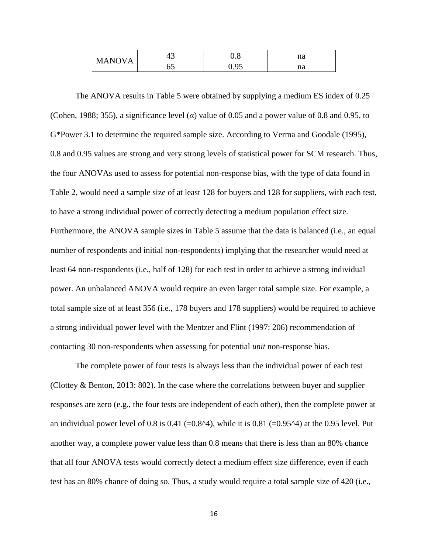| <b>MANOVA</b> | τυ | v.o      | n o<br>па |
|---------------|----|----------|-----------|
|               | ບຸ | 05<br>v. | ng<br>па  |

The ANOVA results in Table 5 were obtained by supplying a medium ES index of 0.25 (Cohen, 1988; 355), a significance level (*α*) value of 0.05 and a power value of 0.8 and 0.95, to G\*Power 3.1 to determine the required sample size. According to Verma and Goodale (1995), 0.8 and 0.95 values are strong and very strong levels of statistical power for SCM research. Thus, the four ANOVAs used to assess for potential non-response bias, with the type of data found in Table 2, would need a sample size of at least 128 for buyers and 128 for suppliers, with each test, to have a strong individual power of correctly detecting a medium population effect size. Furthermore, the ANOVA sample sizes in Table 5 assume that the data is balanced (i.e., an equal number of respondents and initial non-respondents) implying that the researcher would need at least 64 non-respondents (i.e., half of 128) for each test in order to achieve a strong individual power. An unbalanced ANOVA would require an even larger total sample size. For example, a total sample size of at least 356 (i.e., 178 buyers and 178 suppliers) would be required to achieve a strong individual power level with the Mentzer and Flint (1997: 206) recommendation of contacting 30 non-respondents when assessing for potential *unit* non-response bias.

The complete power of four tests is always less than the individual power of each test (Clottey & Benton, 2013: 802). In the case where the correlations between buyer and supplier responses are zero (e.g., the four tests are independent of each other), then the complete power at an individual power level of 0.8 is 0.41 (=0.8^4), while it is 0.81 (=0.95^4) at the 0.95 level. Put another way, a complete power value less than 0.8 means that there is less than an 80% chance that all four ANOVA tests would correctly detect a medium effect size difference, even if each test has an 80% chance of doing so. Thus, a study would require a total sample size of 420 (i.e.,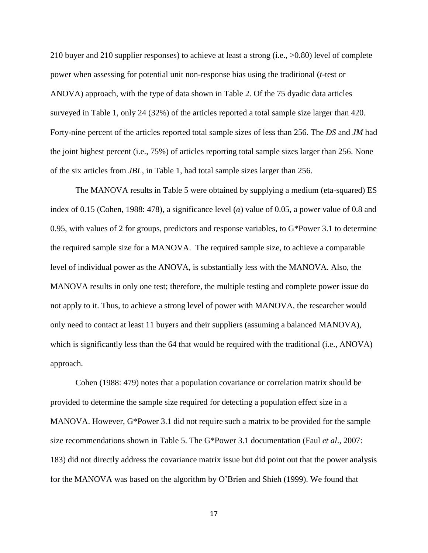210 buyer and 210 supplier responses) to achieve at least a strong (i.e., >0.80) level of complete power when assessing for potential unit non-response bias using the traditional (*t*-test or ANOVA) approach, with the type of data shown in Table 2. Of the 75 dyadic data articles surveyed in Table 1, only 24 (32%) of the articles reported a total sample size larger than 420. Forty-nine percent of the articles reported total sample sizes of less than 256. The *DS* and *JM* had the joint highest percent (i.e., 75%) of articles reporting total sample sizes larger than 256. None of the six articles from *JBL*, in Table 1, had total sample sizes larger than 256.

The MANOVA results in Table 5 were obtained by supplying a medium (eta-squared) ES index of 0.15 (Cohen, 1988: 478), a significance level ( $\alpha$ ) value of 0.05, a power value of 0.8 and 0.95, with values of 2 for groups, predictors and response variables, to G\*Power 3.1 to determine the required sample size for a MANOVA. The required sample size, to achieve a comparable level of individual power as the ANOVA, is substantially less with the MANOVA. Also, the MANOVA results in only one test; therefore, the multiple testing and complete power issue do not apply to it. Thus, to achieve a strong level of power with MANOVA, the researcher would only need to contact at least 11 buyers and their suppliers (assuming a balanced MANOVA), which is significantly less than the 64 that would be required with the traditional (i.e., ANOVA) approach.

Cohen (1988: 479) notes that a population covariance or correlation matrix should be provided to determine the sample size required for detecting a population effect size in a MANOVA. However, G\*Power 3.1 did not require such a matrix to be provided for the sample size recommendations shown in Table 5. The G\*Power 3.1 documentation (Faul *et al*., 2007: 183) did not directly address the covariance matrix issue but did point out that the power analysis for the MANOVA was based on the algorithm by O'Brien and Shieh (1999). We found that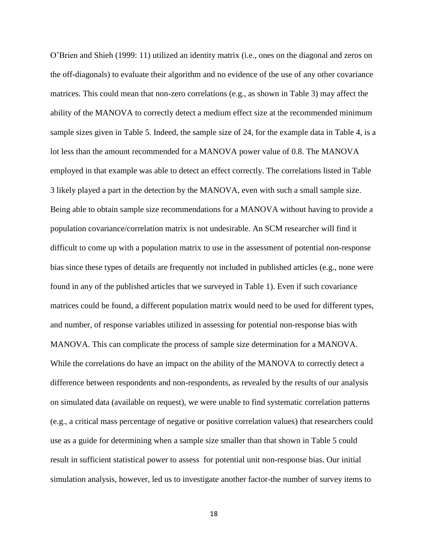O'Brien and Shieh (1999: 11) utilized an identity matrix (i.e., ones on the diagonal and zeros on the off-diagonals) to evaluate their algorithm and no evidence of the use of any other covariance matrices. This could mean that non-zero correlations (e.g., as shown in Table 3) may affect the ability of the MANOVA to correctly detect a medium effect size at the recommended minimum sample sizes given in Table 5. Indeed, the sample size of 24, for the example data in Table 4, is a lot less than the amount recommended for a MANOVA power value of 0.8. The MANOVA employed in that example was able to detect an effect correctly. The correlations listed in Table 3 likely played a part in the detection by the MANOVA, even with such a small sample size. Being able to obtain sample size recommendations for a MANOVA without having to provide a population covariance/correlation matrix is not undesirable. An SCM researcher will find it difficult to come up with a population matrix to use in the assessment of potential non-response bias since these types of details are frequently not included in published articles (e.g., none were found in any of the published articles that we surveyed in Table 1). Even if such covariance matrices could be found, a different population matrix would need to be used for different types, and number, of response variables utilized in assessing for potential non-response bias with MANOVA. This can complicate the process of sample size determination for a MANOVA. While the correlations do have an impact on the ability of the MANOVA to correctly detect a difference between respondents and non-respondents, as revealed by the results of our analysis on simulated data (available on request), we were unable to find systematic correlation patterns (e.g., a critical mass percentage of negative or positive correlation values) that researchers could use as a guide for determining when a sample size smaller than that shown in Table 5 could result in sufficient statistical power to assess for potential unit non-response bias. Our initial simulation analysis, however, led us to investigate another factor-the number of survey items to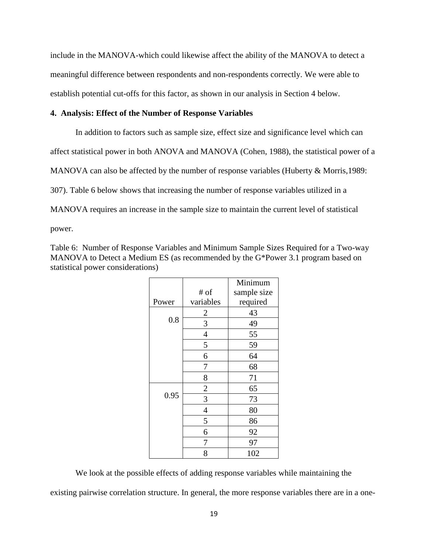include in the MANOVA-which could likewise affect the ability of the MANOVA to detect a meaningful difference between respondents and non-respondents correctly. We were able to establish potential cut-offs for this factor, as shown in our analysis in Section 4 below.

## **4. Analysis: Effect of the Number of Response Variables**

In addition to factors such as sample size, effect size and significance level which can affect statistical power in both ANOVA and MANOVA (Cohen, 1988), the statistical power of a MANOVA can also be affected by the number of response variables (Huberty & Morris, 1989: 307). Table 6 below shows that increasing the number of response variables utilized in a MANOVA requires an increase in the sample size to maintain the current level of statistical power.

Table 6: Number of Response Variables and Minimum Sample Sizes Required for a Two-way MANOVA to Detect a Medium ES (as recommended by the G\*Power 3.1 program based on statistical power considerations)

|       |                | Minimum     |
|-------|----------------|-------------|
|       | # of           | sample size |
| Power | variables      | required    |
|       | $\overline{c}$ | 43          |
| 0.8   | 3              | 49          |
|       | $\overline{4}$ | 55          |
|       | 5              | 59          |
|       | 6              | 64          |
|       | 7              | 68          |
|       | 8              | 71          |
|       | $\overline{c}$ | 65          |
| 0.95  | $\overline{3}$ | 73          |
|       | $\overline{4}$ | 80          |
|       | 5              | 86          |
|       | 6              | 92          |
|       | 7              | 97          |
|       | 8              | 102         |

We look at the possible effects of adding response variables while maintaining the existing pairwise correlation structure. In general, the more response variables there are in a one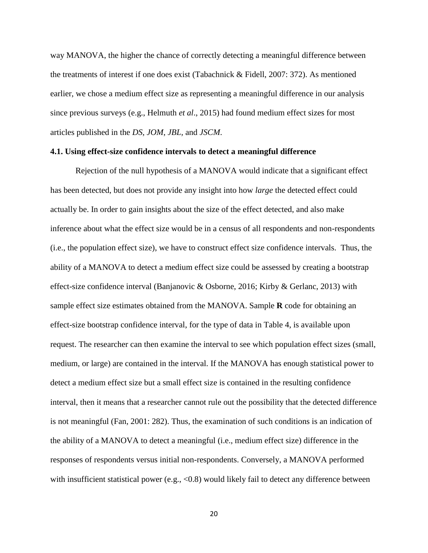way MANOVA, the higher the chance of correctly detecting a meaningful difference between the treatments of interest if one does exist (Tabachnick & Fidell, 2007: 372). As mentioned earlier, we chose a medium effect size as representing a meaningful difference in our analysis since previous surveys (e.g., Helmuth *et al*., 2015) had found medium effect sizes for most articles published in the *DS*, *JOM*, *JBL,* and *JSCM*.

### **4.1. Using effect-size confidence intervals to detect a meaningful difference**

Rejection of the null hypothesis of a MANOVA would indicate that a significant effect has been detected, but does not provide any insight into how *large* the detected effect could actually be. In order to gain insights about the size of the effect detected, and also make inference about what the effect size would be in a census of all respondents and non-respondents (i.e., the population effect size), we have to construct effect size confidence intervals. Thus, the ability of a MANOVA to detect a medium effect size could be assessed by creating a bootstrap effect-size confidence interval (Banjanovic & Osborne, 2016; Kirby & Gerlanc, 2013) with sample effect size estimates obtained from the MANOVA. Sample **R** code for obtaining an effect-size bootstrap confidence interval, for the type of data in Table 4, is available upon request. The researcher can then examine the interval to see which population effect sizes (small, medium, or large) are contained in the interval. If the MANOVA has enough statistical power to detect a medium effect size but a small effect size is contained in the resulting confidence interval, then it means that a researcher cannot rule out the possibility that the detected difference is not meaningful (Fan, 2001: 282). Thus, the examination of such conditions is an indication of the ability of a MANOVA to detect a meaningful (i.e., medium effect size) difference in the responses of respondents versus initial non-respondents. Conversely, a MANOVA performed with insufficient statistical power (e.g.,  $\langle 0.8 \rangle$ ) would likely fail to detect any difference between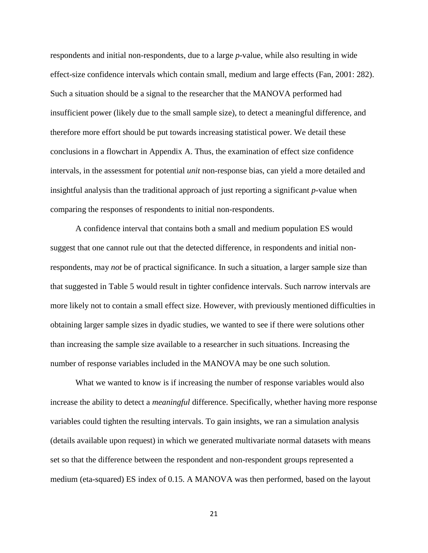respondents and initial non-respondents, due to a large *p*-value, while also resulting in wide effect-size confidence intervals which contain small, medium and large effects (Fan, 2001: 282). Such a situation should be a signal to the researcher that the MANOVA performed had insufficient power (likely due to the small sample size), to detect a meaningful difference, and therefore more effort should be put towards increasing statistical power. We detail these conclusions in a flowchart in Appendix A. Thus, the examination of effect size confidence intervals, in the assessment for potential *unit* non-response bias, can yield a more detailed and insightful analysis than the traditional approach of just reporting a significant *p*-value when comparing the responses of respondents to initial non-respondents.

A confidence interval that contains both a small and medium population ES would suggest that one cannot rule out that the detected difference, in respondents and initial nonrespondents, may *not* be of practical significance. In such a situation, a larger sample size than that suggested in Table 5 would result in tighter confidence intervals. Such narrow intervals are more likely not to contain a small effect size. However, with previously mentioned difficulties in obtaining larger sample sizes in dyadic studies, we wanted to see if there were solutions other than increasing the sample size available to a researcher in such situations. Increasing the number of response variables included in the MANOVA may be one such solution.

What we wanted to know is if increasing the number of response variables would also increase the ability to detect a *meaningful* difference. Specifically, whether having more response variables could tighten the resulting intervals. To gain insights, we ran a simulation analysis (details available upon request) in which we generated multivariate normal datasets with means set so that the difference between the respondent and non-respondent groups represented a medium (eta-squared) ES index of 0.15. A MANOVA was then performed, based on the layout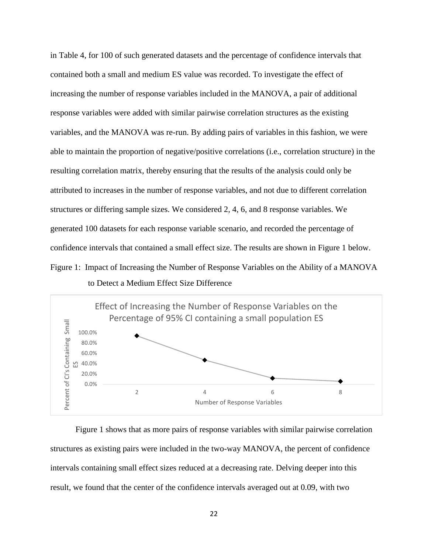in Table 4, for 100 of such generated datasets and the percentage of confidence intervals that contained both a small and medium ES value was recorded. To investigate the effect of increasing the number of response variables included in the MANOVA, a pair of additional response variables were added with similar pairwise correlation structures as the existing variables, and the MANOVA was re-run. By adding pairs of variables in this fashion, we were able to maintain the proportion of negative/positive correlations (i.e., correlation structure) in the resulting correlation matrix, thereby ensuring that the results of the analysis could only be attributed to increases in the number of response variables, and not due to different correlation structures or differing sample sizes. We considered 2, 4, 6, and 8 response variables. We generated 100 datasets for each response variable scenario, and recorded the percentage of confidence intervals that contained a small effect size. The results are shown in Figure 1 below. Figure 1: Impact of Increasing the Number of Response Variables on the Ability of a MANOVA to Detect a Medium Effect Size Difference



Figure 1 shows that as more pairs of response variables with similar pairwise correlation structures as existing pairs were included in the two-way MANOVA, the percent of confidence intervals containing small effect sizes reduced at a decreasing rate. Delving deeper into this result, we found that the center of the confidence intervals averaged out at 0.09, with two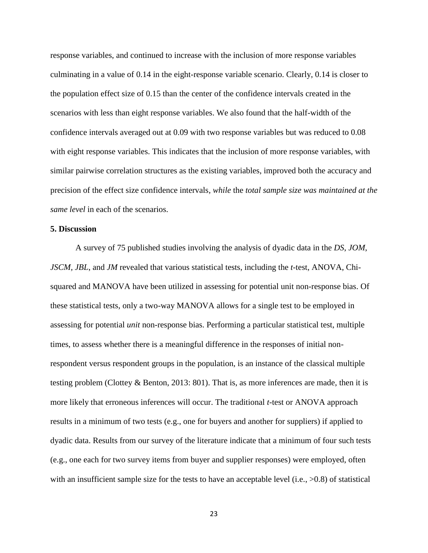response variables, and continued to increase with the inclusion of more response variables culminating in a value of 0.14 in the eight-response variable scenario. Clearly, 0.14 is closer to the population effect size of 0.15 than the center of the confidence intervals created in the scenarios with less than eight response variables. We also found that the half-width of the confidence intervals averaged out at 0.09 with two response variables but was reduced to 0.08 with eight response variables. This indicates that the inclusion of more response variables, with similar pairwise correlation structures as the existing variables, improved both the accuracy and precision of the effect size confidence intervals*, while* the *total sample size was maintained at the same level* in each of the scenarios.

## **5. Discussion**

A survey of 75 published studies involving the analysis of dyadic data in the *DS*, *JOM*, *JSCM, JBL*, and *JM* revealed that various statistical tests, including the *t-*test, ANOVA, Chisquared and MANOVA have been utilized in assessing for potential unit non-response bias. Of these statistical tests, only a two-way MANOVA allows for a single test to be employed in assessing for potential *unit* non-response bias. Performing a particular statistical test, multiple times, to assess whether there is a meaningful difference in the responses of initial nonrespondent versus respondent groups in the population, is an instance of the classical multiple testing problem (Clottey & Benton, 2013: 801). That is, as more inferences are made, then it is more likely that erroneous inferences will occur. The traditional *t-*test or ANOVA approach results in a minimum of two tests (e.g., one for buyers and another for suppliers) if applied to dyadic data. Results from our survey of the literature indicate that a minimum of four such tests (e.g., one each for two survey items from buyer and supplier responses) were employed, often with an insufficient sample size for the tests to have an acceptable level (i.e.,  $>0.8$ ) of statistical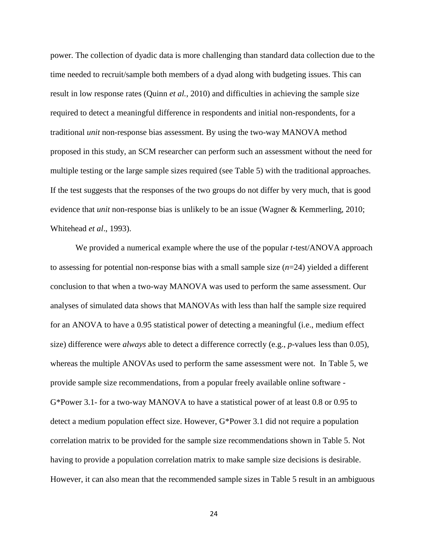power. The collection of dyadic data is more challenging than standard data collection due to the time needed to recruit/sample both members of a dyad along with budgeting issues. This can result in low response rates (Quinn *et al.*, 2010) and difficulties in achieving the sample size required to detect a meaningful difference in respondents and initial non-respondents, for a traditional *unit* non-response bias assessment. By using the two-way MANOVA method proposed in this study, an SCM researcher can perform such an assessment without the need for multiple testing or the large sample sizes required (see Table 5) with the traditional approaches. If the test suggests that the responses of the two groups do not differ by very much, that is good evidence that *unit* non-response bias is unlikely to be an issue (Wagner & Kemmerling, 2010; Whitehead *et al*., 1993).

We provided a numerical example where the use of the popular *t*-test/ANOVA approach to assessing for potential non-response bias with a small sample size (*n*=24) yielded a different conclusion to that when a two-way MANOVA was used to perform the same assessment. Our analyses of simulated data shows that MANOVAs with less than half the sample size required for an ANOVA to have a 0.95 statistical power of detecting a meaningful (i.e., medium effect size) difference were *always* able to detect a difference correctly (e.g., *p*-values less than 0.05), whereas the multiple ANOVAs used to perform the same assessment were not. In Table 5, we provide sample size recommendations, from a popular freely available online software - G\*Power 3.1- for a two-way MANOVA to have a statistical power of at least 0.8 or 0.95 to detect a medium population effect size. However, G\*Power 3.1 did not require a population correlation matrix to be provided for the sample size recommendations shown in Table 5. Not having to provide a population correlation matrix to make sample size decisions is desirable. However, it can also mean that the recommended sample sizes in Table 5 result in an ambiguous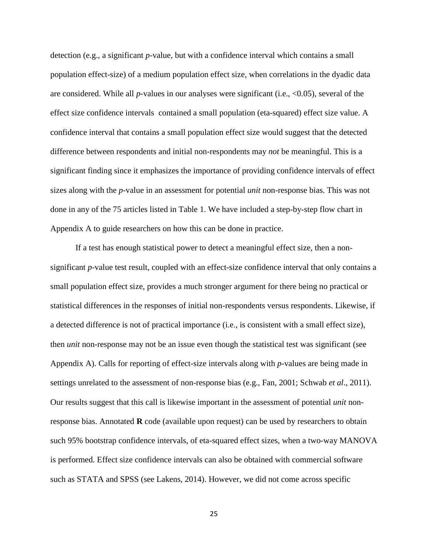detection (e.g., a significant *p*-value, but with a confidence interval which contains a small population effect-size) of a medium population effect size, when correlations in the dyadic data are considered. While all *p*-values in our analyses were significant (i.e., <0.05), several of the effect size confidence intervals contained a small population (eta-squared) effect size value. A confidence interval that contains a small population effect size would suggest that the detected difference between respondents and initial non-respondents may *not* be meaningful. This is a significant finding since it emphasizes the importance of providing confidence intervals of effect sizes along with the *p*-value in an assessment for potential *unit* non-response bias. This was not done in any of the 75 articles listed in Table 1. We have included a step-by-step flow chart in Appendix A to guide researchers on how this can be done in practice.

If a test has enough statistical power to detect a meaningful effect size, then a nonsignificant *p*-value test result, coupled with an effect-size confidence interval that only contains a small population effect size, provides a much stronger argument for there being no practical or statistical differences in the responses of initial non-respondents versus respondents. Likewise, if a detected difference is not of practical importance (i.e., is consistent with a small effect size), then *unit* non-response may not be an issue even though the statistical test was significant (see Appendix A). Calls for reporting of effect-size intervals along with *p*-values are being made in settings unrelated to the assessment of non-response bias (e.g., Fan, 2001; Schwab *et al*., 2011). Our results suggest that this call is likewise important in the assessment of potential *unit* nonresponse bias. Annotated **R** code (available upon request) can be used by researchers to obtain such 95% bootstrap confidence intervals, of eta-squared effect sizes, when a two-way MANOVA is performed. Effect size confidence intervals can also be obtained with commercial software such as STATA and SPSS (see Lakens, 2014). However, we did not come across specific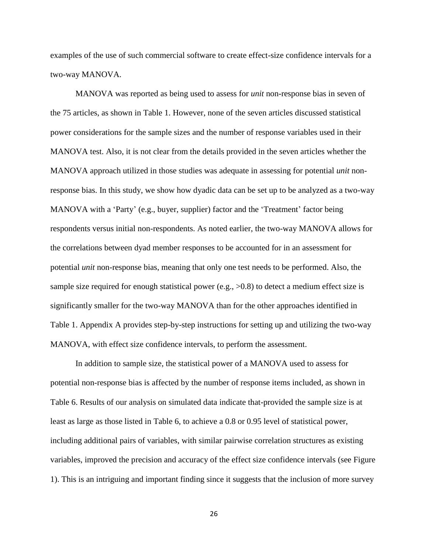examples of the use of such commercial software to create effect-size confidence intervals for a two-way MANOVA.

MANOVA was reported as being used to assess for *unit* non-response bias in seven of the 75 articles, as shown in Table 1. However, none of the seven articles discussed statistical power considerations for the sample sizes and the number of response variables used in their MANOVA test. Also, it is not clear from the details provided in the seven articles whether the MANOVA approach utilized in those studies was adequate in assessing for potential *unit* nonresponse bias. In this study, we show how dyadic data can be set up to be analyzed as a two-way MANOVA with a 'Party' (e.g., buyer, supplier) factor and the 'Treatment' factor being respondents versus initial non-respondents. As noted earlier, the two-way MANOVA allows for the correlations between dyad member responses to be accounted for in an assessment for potential *unit* non-response bias, meaning that only one test needs to be performed. Also, the sample size required for enough statistical power (e.g.,  $>0.8$ ) to detect a medium effect size is significantly smaller for the two-way MANOVA than for the other approaches identified in Table 1. Appendix A provides step-by-step instructions for setting up and utilizing the two-way MANOVA, with effect size confidence intervals, to perform the assessment.

In addition to sample size, the statistical power of a MANOVA used to assess for potential non-response bias is affected by the number of response items included, as shown in Table 6. Results of our analysis on simulated data indicate that-provided the sample size is at least as large as those listed in Table 6, to achieve a 0.8 or 0.95 level of statistical power, including additional pairs of variables, with similar pairwise correlation structures as existing variables, improved the precision and accuracy of the effect size confidence intervals (see Figure 1). This is an intriguing and important finding since it suggests that the inclusion of more survey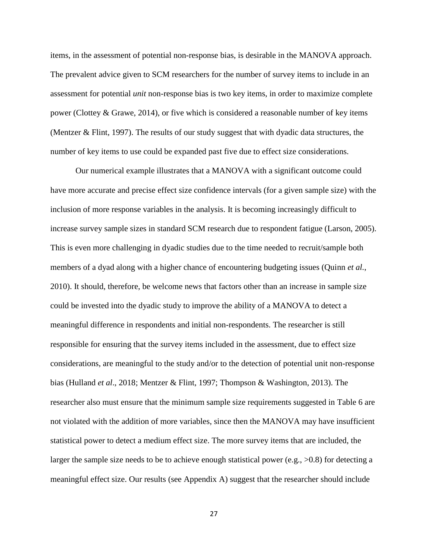items, in the assessment of potential non-response bias, is desirable in the MANOVA approach. The prevalent advice given to SCM researchers for the number of survey items to include in an assessment for potential *unit* non-response bias is two key items, in order to maximize complete power (Clottey & Grawe, 2014), or five which is considered a reasonable number of key items (Mentzer & Flint, 1997). The results of our study suggest that with dyadic data structures, the number of key items to use could be expanded past five due to effect size considerations.

Our numerical example illustrates that a MANOVA with a significant outcome could have more accurate and precise effect size confidence intervals (for a given sample size) with the inclusion of more response variables in the analysis. It is becoming increasingly difficult to increase survey sample sizes in standard SCM research due to respondent fatigue (Larson, 2005). This is even more challenging in dyadic studies due to the time needed to recruit/sample both members of a dyad along with a higher chance of encountering budgeting issues (Quinn *et al.*, 2010). It should, therefore, be welcome news that factors other than an increase in sample size could be invested into the dyadic study to improve the ability of a MANOVA to detect a meaningful difference in respondents and initial non-respondents. The researcher is still responsible for ensuring that the survey items included in the assessment, due to effect size considerations, are meaningful to the study and/or to the detection of potential unit non-response bias (Hulland *et al*., 2018; Mentzer & Flint, 1997; Thompson & Washington, 2013). The researcher also must ensure that the minimum sample size requirements suggested in Table 6 are not violated with the addition of more variables, since then the MANOVA may have insufficient statistical power to detect a medium effect size. The more survey items that are included, the larger the sample size needs to be to achieve enough statistical power (e.g.,  $>0.8$ ) for detecting a meaningful effect size. Our results (see Appendix A) suggest that the researcher should include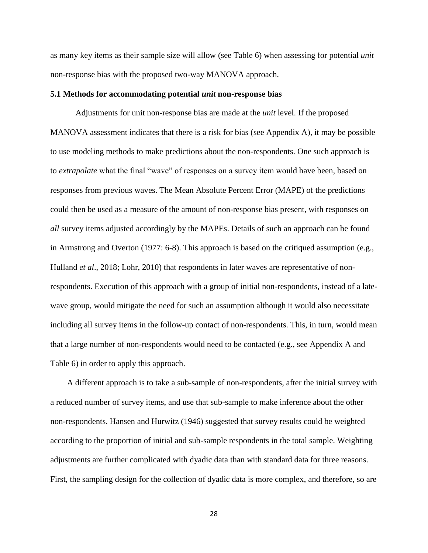as many key items as their sample size will allow (see Table 6) when assessing for potential *unit*  non-response bias with the proposed two-way MANOVA approach.

#### **5.1 Methods for accommodating potential** *unit* **non-response bias**

Adjustments for unit non-response bias are made at the *unit* level. If the proposed MANOVA assessment indicates that there is a risk for bias (see Appendix A), it may be possible to use modeling methods to make predictions about the non-respondents. One such approach is to *extrapolate* what the final "wave" of responses on a survey item would have been, based on responses from previous waves. The Mean Absolute Percent Error (MAPE) of the predictions could then be used as a measure of the amount of non-response bias present, with responses on *all* survey items adjusted accordingly by the MAPEs. Details of such an approach can be found in Armstrong and Overton (1977: 6-8). This approach is based on the critiqued assumption (e.g., Hulland *et al.*, 2018; Lohr, 2010) that respondents in later waves are representative of nonrespondents. Execution of this approach with a group of initial non-respondents, instead of a latewave group, would mitigate the need for such an assumption although it would also necessitate including all survey items in the follow-up contact of non-respondents. This, in turn, would mean that a large number of non-respondents would need to be contacted (e.g., see Appendix A and Table 6) in order to apply this approach.

 A different approach is to take a sub-sample of non-respondents, after the initial survey with a reduced number of survey items, and use that sub-sample to make inference about the other non-respondents. Hansen and Hurwitz (1946) suggested that survey results could be weighted according to the proportion of initial and sub-sample respondents in the total sample. Weighting adjustments are further complicated with dyadic data than with standard data for three reasons. First, the sampling design for the collection of dyadic data is more complex, and therefore, so are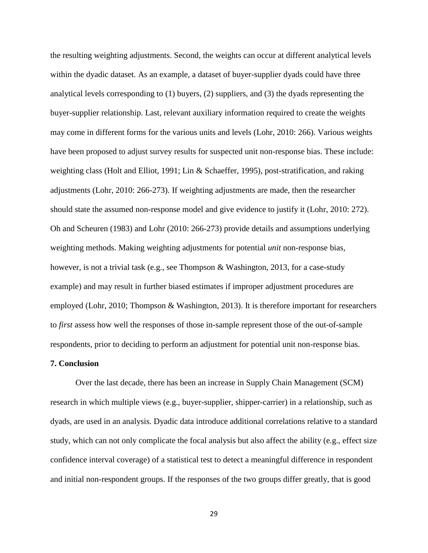the resulting weighting adjustments. Second, the weights can occur at different analytical levels within the dyadic dataset. As an example, a dataset of buyer-supplier dyads could have three analytical levels corresponding to (1) buyers, (2) suppliers, and (3) the dyads representing the buyer-supplier relationship. Last, relevant auxiliary information required to create the weights may come in different forms for the various units and levels (Lohr, 2010: 266). Various weights have been proposed to adjust survey results for suspected unit non-response bias. These include: weighting class (Holt and Elliot, 1991; Lin & Schaeffer, 1995), post-stratification, and raking adjustments (Lohr, 2010: 266-273). If weighting adjustments are made, then the researcher should state the assumed non-response model and give evidence to justify it (Lohr, 2010: 272). Oh and Scheuren (1983) and Lohr (2010: 266-273) provide details and assumptions underlying weighting methods. Making weighting adjustments for potential *unit* non-response bias, however, is not a trivial task (e.g., see Thompson & Washington, 2013, for a case-study example) and may result in further biased estimates if improper adjustment procedures are employed (Lohr, 2010; Thompson & Washington, 2013). It is therefore important for researchers to *first* assess how well the responses of those in-sample represent those of the out-of-sample respondents, prior to deciding to perform an adjustment for potential unit non-response bias.

## **7. Conclusion**

Over the last decade, there has been an increase in Supply Chain Management (SCM) research in which multiple views (e.g., buyer-supplier, shipper-carrier) in a relationship, such as dyads, are used in an analysis. Dyadic data introduce additional correlations relative to a standard study, which can not only complicate the focal analysis but also affect the ability (e.g., effect size confidence interval coverage) of a statistical test to detect a meaningful difference in respondent and initial non-respondent groups. If the responses of the two groups differ greatly, that is good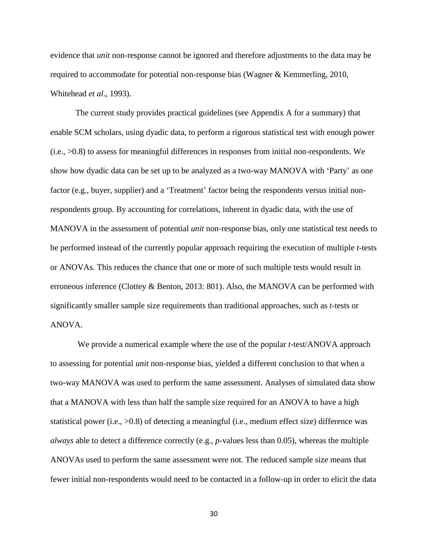evidence that *unit* non-response cannot be ignored and therefore adjustments to the data may be required to accommodate for potential non-response bias (Wagner & Kemmerling, 2010, Whitehead *et al*., 1993).

The current study provides practical guidelines (see Appendix A for a summary) that enable SCM scholars, using dyadic data, to perform a rigorous statistical test with enough power (i.e., >0.8) to assess for meaningful differences in responses from initial non-respondents. We show how dyadic data can be set up to be analyzed as a two-way MANOVA with 'Party' as one factor (e.g., buyer, supplier) and a 'Treatment' factor being the respondents versus initial nonrespondents group. By accounting for correlations, inherent in dyadic data, with the use of MANOVA in the assessment of potential *unit* non-response bias, only one statistical test needs to be performed instead of the currently popular approach requiring the execution of multiple *t*-tests or ANOVAs. This reduces the chance that one or more of such multiple tests would result in erroneous inference (Clottey & Benton, 2013: 801). Also, the MANOVA can be performed with significantly smaller sample size requirements than traditional approaches, such as *t*-tests or ANOVA.

We provide a numerical example where the use of the popular *t*-test/ANOVA approach to assessing for potential *unit* non-response bias, yielded a different conclusion to that when a two-way MANOVA was used to perform the same assessment. Analyses of simulated data show that a MANOVA with less than half the sample size required for an ANOVA to have a high statistical power (i.e., >0.8) of detecting a meaningful (i.e., medium effect size) difference was *always* able to detect a difference correctly (e.g., *p*-values less than 0.05), whereas the multiple ANOVAs used to perform the same assessment were not. The reduced sample size means that fewer initial non-respondents would need to be contacted in a follow-up in order to elicit the data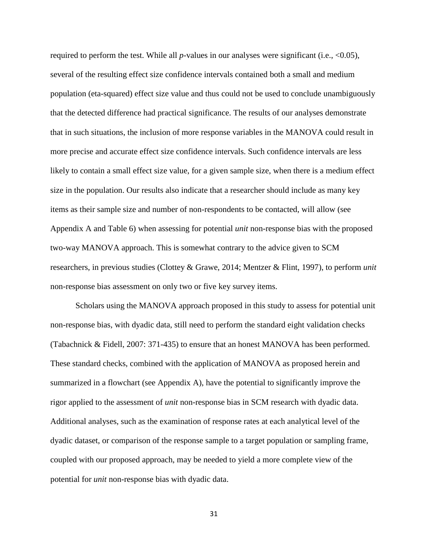required to perform the test. While all  $p$ -values in our analyses were significant (i.e.,  $\langle 0.05 \rangle$ , several of the resulting effect size confidence intervals contained both a small and medium population (eta-squared) effect size value and thus could not be used to conclude unambiguously that the detected difference had practical significance. The results of our analyses demonstrate that in such situations, the inclusion of more response variables in the MANOVA could result in more precise and accurate effect size confidence intervals. Such confidence intervals are less likely to contain a small effect size value, for a given sample size, when there is a medium effect size in the population. Our results also indicate that a researcher should include as many key items as their sample size and number of non-respondents to be contacted, will allow (see Appendix A and Table 6) when assessing for potential *unit* non-response bias with the proposed two-way MANOVA approach. This is somewhat contrary to the advice given to SCM researchers, in previous studies (Clottey & Grawe, 2014; Mentzer & Flint, 1997), to perform *unit* non-response bias assessment on only two or five key survey items.

Scholars using the MANOVA approach proposed in this study to assess for potential unit non-response bias, with dyadic data, still need to perform the standard eight validation checks (Tabachnick & Fidell, 2007: 371-435) to ensure that an honest MANOVA has been performed. These standard checks, combined with the application of MANOVA as proposed herein and summarized in a flowchart (see Appendix A), have the potential to significantly improve the rigor applied to the assessment of *unit* non-response bias in SCM research with dyadic data. Additional analyses, such as the examination of response rates at each analytical level of the dyadic dataset, or comparison of the response sample to a target population or sampling frame, coupled with our proposed approach, may be needed to yield a more complete view of the potential for *unit* non-response bias with dyadic data.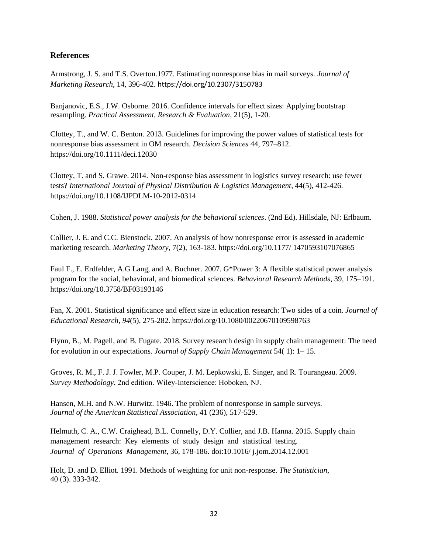# **References**

Armstrong, J. S. and T.S. Overton.1977. Estimating nonresponse bias in mail surveys. *Journal of Marketing Research*, 14, 396-402. https://doi.org/10.2307/3150783

Banjanovic, E.S., J.W. Osborne. 2016. Confidence intervals for effect sizes: Applying bootstrap resampling. *Practical Assessment, Research & Evaluation*, 21(5), 1-20.

Clottey, T., and W. C. Benton. 2013. Guidelines for improving the power values of statistical tests for nonresponse bias assessment in OM research. *Decision Sciences* 44, 797–812. https://doi.org/10.1111/deci.12030

Clottey, T. and S. Grawe. 2014. Non-response bias assessment in logistics survey research: use fewer tests? *International Journal of Physical Distribution & Logistics Management*, 44(5), 412-426. https://doi.org/10.1108/IJPDLM-10-2012-0314

Cohen, J. 1988. *Statistical power analysis for the behavioral sciences*. (2nd Ed). Hillsdale, NJ: Erlbaum.

Collier, J. E. and C.C. Bienstock. 2007. An analysis of how nonresponse error is assessed in academic marketing research. *Marketing Theory*, 7(2), 163-183. https://doi.org/10.1177/ 1470593107076865

Faul F., E. Erdfelder, A.G Lang, and A. Buchner. 2007. G\*Power 3: A flexible statistical power analysis program for the social, behavioral, and biomedical sciences. *Behavioral Research Methods*, 39, 175–191. https://doi.org/10.3758/BF03193146

Fan, X. 2001. Statistical significance and effect size in education research: Two sides of a coin. *Journal of Educational Research, 94*(5), 275-282. https://doi.org/10.1080/00220670109598763

Flynn, B., M. Pagell, and B. Fugate. 2018. Survey research design in supply chain management: The need for evolution in our expectations. *Journal of Supply Chain Management* 54( 1): 1– 15.

Groves, R. M., F. J. J. Fowler, M.P. Couper, J. M. Lepkowski, E. Singer, and R. Tourangeau. 2009. *Survey Methodology*, 2nd edition. Wiley‐Interscience: Hoboken, NJ.

Hansen, M.H. and N.W. Hurwitz. 1946. The problem of nonresponse in sample surveys. *Journal of the American Statistical Association*, 41 (236), 517-529.

Helmuth, C. A., C.W. Craighead, B.L. Connelly, D.Y. Collier, and J.B. Hanna. 2015. Supply chain management research: Key elements of study design and statistical testing. *Journal of Operations Management*, 36, 178-186. doi:10.1016/ j.jom.2014.12.001

Holt, D. and D. Elliot. 1991. Methods of weighting for unit non-response. *The Statistician*, 40 (3). 333-342.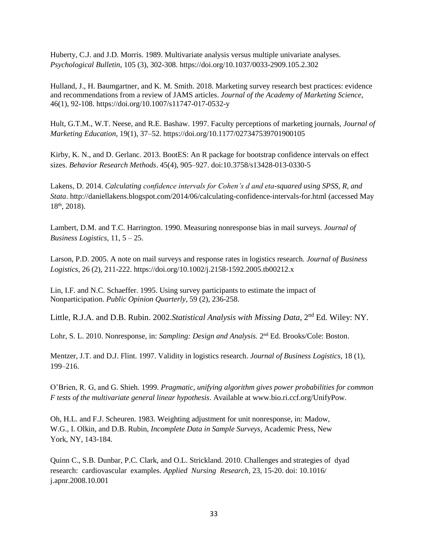Huberty, C.J. and J.D. Morris. 1989. Multivariate analysis versus multiple univariate analyses. *Psychological Bulletin*, 105 (3), 302-308. https://doi.org/10.1037/0033-2909.105.2.302

Hulland, J., H. Baumgartner, and K. M. Smith. 2018. Marketing survey research best practices: evidence and recommendations from a review of JAMS articles. *Journal of the Academy of Marketing Science*, 46(1), 92-108. https://doi.org/10.1007/s11747-017-0532-y

Hult, G.T.M., W.T. Neese, and R.E. Bashaw. 1997. Faculty perceptions of marketing journals, *Journal of Marketing Education*, 19(1), 37–52.<https://doi.org/10.1177/027347539701900105>

Kirby, K. N., and D. Gerlanc. 2013. BootES: An R package for bootstrap confidence intervals on effect sizes. *Behavior Research Methods*. 45(4), 905–927. doi:10.3758/s13428-013-0330-5

Lakens, D. 2014. *Calculating confidence intervals for Cohen's d and eta-squared using SPSS, R, and Stata*. http://daniellakens.blogspot.com/2014/06/calculating-confidence-intervals-for.html (accessed May 18th, 2018).

Lambert, D.M. and T.C. Harrington. 1990. Measuring nonresponse bias in mail surveys. *Journal of Business Logistics*, 11, 5 – 25.

Larson, P.D. 2005. A note on mail surveys and response rates in logistics research. *Journal of Business Logistics*, 26 (2), 211-222. https://doi.org/10.1002/j.2158-1592.2005.tb00212.x

Lin, I.F. and N.C. Schaeffer. 1995. Using survey participants to estimate the impact of Nonparticipation. *Public Opinion Quarterly*, 59 (2), 236-258.

Little, R.J.A. and D.B. Rubin. 2002. Statistical Analysis with Missing Data, 2<sup>nd</sup> Ed. Wiley: NY.

Lohr, S. L. 2010. Nonresponse, in: *Sampling: Design and Analysis*. 2<sup>nd</sup> Ed. Brooks/Cole: Boston.

Mentzer, J.T. and D.J. Flint. 1997. Validity in logistics research. *Journal of Business Logistics*, 18 (1), 199–216.

O'Brien, R. G, and G. Shieh. 1999. *Pragmatic, unifying algorithm gives power probabilities for common F tests of the multivariate general linear hypothesis*. Available at www.bio.ri.ccf.org/UnifyPow.

Oh, H.L. and F.J. Scheuren. 1983. Weighting adjustment for unit nonresponse, in: Madow, W.G., I. Olkin, and D.B. Rubin, *Incomplete Data in Sample Surveys*, Academic Press, New York, NY, 143-184.

Quinn C., S.B. Dunbar, P.C. Clark, and O.L. Strickland. 2010. Challenges and strategies of dyad research: cardiovascular examples. *Applied Nursing Research*, 23, 15-20. doi: 10.1016/ j.apnr.2008.10.001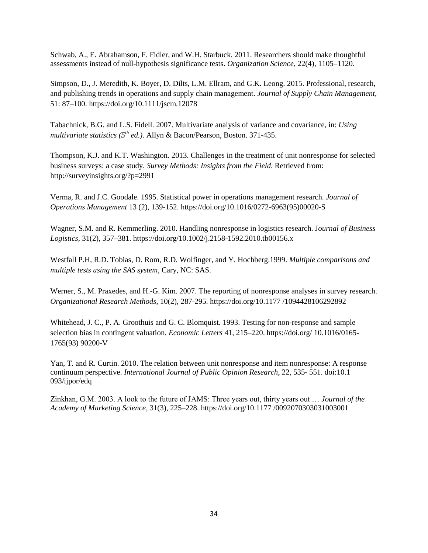Schwab, A., E. Abrahamson, F. Fidler, and W.H. Starbuck. 2011. Researchers should make thoughtful assessments instead of null-hypothesis significance tests. *Organization Science*, 22(4), 1105–1120.

Simpson, D., J. Meredith, K. Boyer, D. Dilts, L.M. Ellram, and G.K. Leong. 2015. Professional, research, and publishing trends in operations and supply chain management. *Journal of Supply Chain Management*, 51: 87–100. https://doi.org/10.1111/jscm.12078

Tabachnick, B.G. and L.S. Fidell. 2007. Multivariate analysis of variance and covariance, in: *Using multivariate statistics (5th ed.)*. Allyn & Bacon/Pearson, Boston. 371-435.

Thompson, K.J. and K.T. Washington. 2013. Challenges in the treatment of unit nonresponse for selected business surveys: a case study. *Survey Methods: Insights from the Field*. Retrieved from: http://surveyinsights.org/?p=2991

Verma, R. and J.C. Goodale. 1995. Statistical power in operations management research. *Journal of Operations Management* 13 (2), 139-152. https://doi.org/10.1016/0272-6963(95)00020-S

Wagner, S.M. and R. Kemmerling. 2010. Handling nonresponse in logistics research. J*ournal of Business Logistics*, 31(2), 357–381. https://doi.org/10.1002/j.2158-1592.2010.tb00156.x

Westfall P.H, R.D. Tobias, D. Rom, R.D. Wolfinger, and Y. Hochberg.1999. *Multiple comparisons and multiple tests using the SAS system*, Cary, NC: SAS.

Werner, S., M. Praxedes, and H.-G. Kim. 2007. The reporting of nonresponse analyses in survey research. *Organizational Research Methods*, 10(2), 287-295. https://doi.org/10.1177 /1094428106292892

Whitehead, J. C., P. A. Groothuis and G. C. Blomquist. 1993. Testing for non-response and sample selection bias in contingent valuation. *Economic Letters* 41, 215–220. https://doi.org/ 10.1016/0165- 1765(93) 90200-V

Yan, T. and R. Curtin. 2010. The relation between unit nonresponse and item nonresponse: A response continuum perspective. *International Journal of Public Opinion Research*, 22, 535- 551. doi:10.1 093/ijpor/edq

Zinkhan, G.M. 2003. A look to the future of JAMS: Three years out, thirty years out … *Journal of the Academy of Marketing Science*, 31(3), 225–228. https://doi.org/10.1177 /0092070303031003001